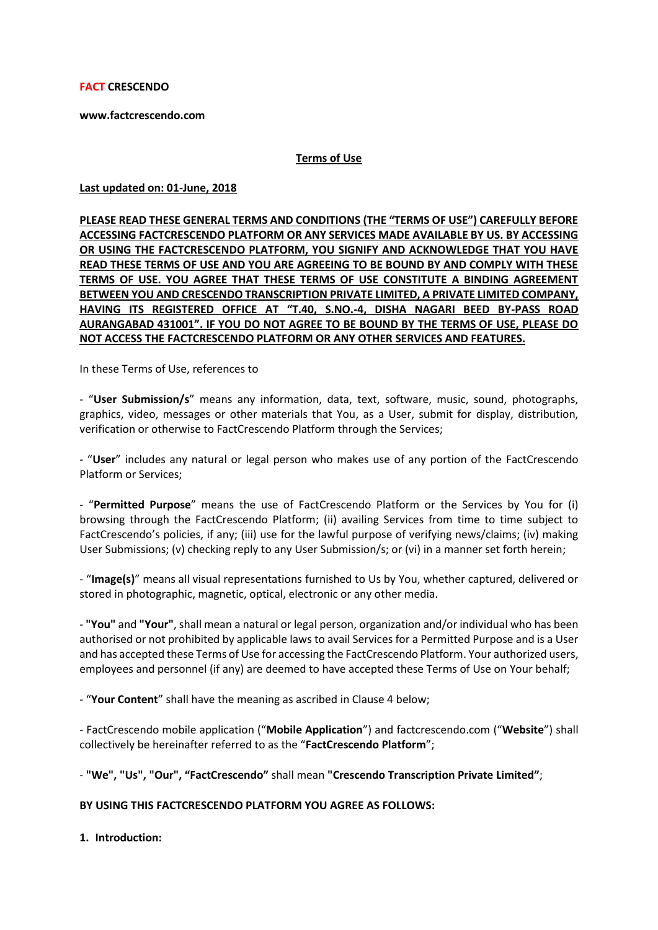**FACT CRESCENDO** 

**www.factcrescendo.com** 

#### **Terms of Use**

**Last updated on: 01-June, 2018**

**PLEASE READ THESE GENERAL TERMS AND CONDITIONS (THE "TERMS OF USE") CAREFULLY BEFORE ACCESSING FACTCRESCENDO PLATFORM OR ANY SERVICES MADE AVAILABLE BY US. BY ACCESSING OR USING THE FACTCRESCENDO PLATFORM, YOU SIGNIFY AND ACKNOWLEDGE THAT YOU HAVE READ THESE TERMS OF USE AND YOU ARE AGREEING TO BE BOUND BY AND COMPLY WITH THESE TERMS OF USE. YOU AGREE THAT THESE TERMS OF USE CONSTITUTE A BINDING AGREEMENT BETWEEN YOU AND CRESCENDO TRANSCRIPTION PRIVATE LIMITED, A PRIVATE LIMITED COMPANY, HAVING ITS REGISTERED OFFICE AT "T.40, S.NO.-4, DISHA NAGARI BEED BY-PASS ROAD AURANGABAD 431001". IF YOU DO NOT AGREE TO BE BOUND BY THE TERMS OF USE, PLEASE DO NOT ACCESS THE FACTCRESCENDO PLATFORM OR ANY OTHER SERVICES AND FEATURES.**

In these Terms of Use, references to

- "**User Submission/s**" means any information, data, text, software, music, sound, photographs, graphics, video, messages or other materials that You, as a User, submit for display, distribution, verification or otherwise to FactCrescendo Platform through the Services;

- "**User**" includes any natural or legal person who makes use of any portion of the FactCrescendo Platform or Services;

- "**Permitted Purpose**" means the use of FactCrescendo Platform or the Services by You for (i) browsing through the FactCrescendo Platform; (ii) availing Services from time to time subject to FactCrescendo's policies, if any; (iii) use for the lawful purpose of verifying news/claims; (iv) making User Submissions; (v) checking reply to any User Submission/s; or (vi) in a manner set forth herein;

- "**Image(s)**" means all visual representations furnished to Us by You, whether captured, delivered or stored in photographic, magnetic, optical, electronic or any other media.

- **"You"** and **"Your"**, shall mean a natural or legal person, organization and/or individual who has been authorised or not prohibited by applicable laws to avail Services for a Permitted Purpose and is a User and has accepted these Terms of Use for accessing the FactCrescendo Platform. Your authorized users, employees and personnel (if any) are deemed to have accepted these Terms of Use on Your behalf;

- "**Your Content**" shall have the meaning as ascribed in Clause 4 below;

- FactCrescendo mobile application ("**Mobile Application**") and factcrescendo.com ("**Website**") shall collectively be hereinafter referred to as the "**FactCrescendo Platform**";

- **"We", "Us", "Our", "FactCrescendo"** shall mean **"Crescendo Transcription Private Limited"**;

**BY USING THIS FACTCRESCENDO PLATFORM YOU AGREE AS FOLLOWS:**

**1. Introduction:**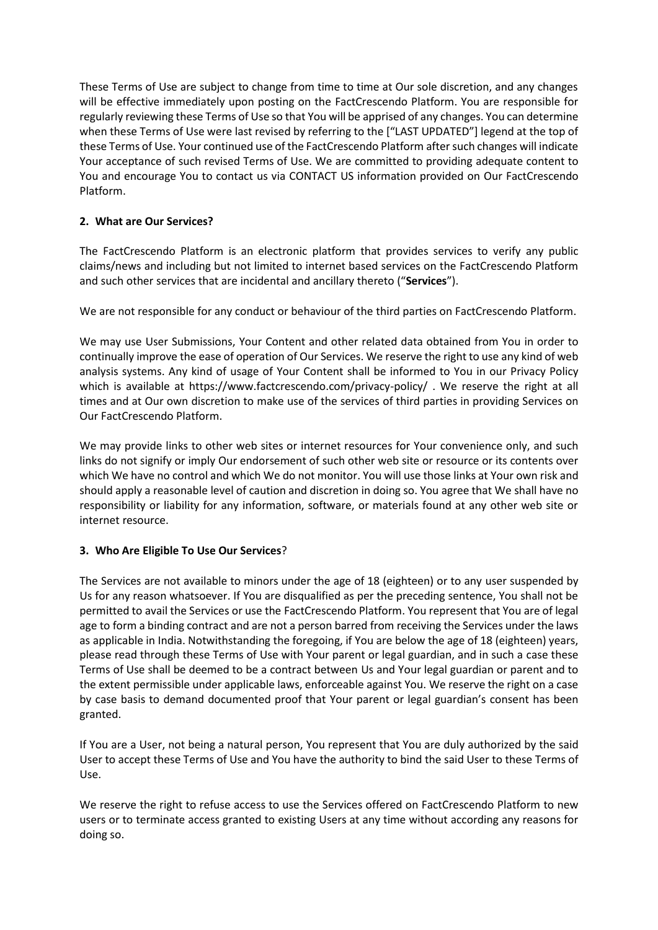These Terms of Use are subject to change from time to time at Our sole discretion, and any changes will be effective immediately upon posting on the FactCrescendo Platform. You are responsible for regularly reviewing these Terms of Use so that You will be apprised of any changes. You can determine when these Terms of Use were last revised by referring to the ["LAST UPDATED"] legend at the top of these Terms of Use. Your continued use of the FactCrescendo Platform after such changes will indicate Your acceptance of such revised Terms of Use. We are committed to providing adequate content to You and encourage You to contact us via CONTACT US information provided on Our FactCrescendo Platform.

# **2. What are Our Services?**

The FactCrescendo Platform is an electronic platform that provides services to verify any public claims/news and including but not limited to internet based services on the FactCrescendo Platform and such other services that are incidental and ancillary thereto ("**Services**").

We are not responsible for any conduct or behaviour of the third parties on FactCrescendo Platform.

We may use User Submissions, Your Content and other related data obtained from You in order to continually improve the ease of operation of Our Services. We reserve the right to use any kind of web analysis systems. Any kind of usage of Your Content shall be informed to You in our Privacy Policy which is available at https://www.factcrescendo.com/privacy-policy/. We reserve the right at all times and at Our own discretion to make use of the services of third parties in providing Services on Our FactCrescendo Platform.

We may provide links to other web sites or internet resources for Your convenience only, and such links do not signify or imply Our endorsement of such other web site or resource or its contents over which We have no control and which We do not monitor. You will use those links at Your own risk and should apply a reasonable level of caution and discretion in doing so. You agree that We shall have no responsibility or liability for any information, software, or materials found at any other web site or internet resource.

# **3. Who Are Eligible To Use Our Services**?

The Services are not available to minors under the age of 18 (eighteen) or to any user suspended by Us for any reason whatsoever. If You are disqualified as per the preceding sentence, You shall not be permitted to avail the Services or use the FactCrescendo Platform. You represent that You are of legal age to form a binding contract and are not a person barred from receiving the Services under the laws as applicable in India. Notwithstanding the foregoing, if You are below the age of 18 (eighteen) years, please read through these Terms of Use with Your parent or legal guardian, and in such a case these Terms of Use shall be deemed to be a contract between Us and Your legal guardian or parent and to the extent permissible under applicable laws, enforceable against You. We reserve the right on a case by case basis to demand documented proof that Your parent or legal guardian's consent has been granted.

If You are a User, not being a natural person, You represent that You are duly authorized by the said User to accept these Terms of Use and You have the authority to bind the said User to these Terms of Use.

We reserve the right to refuse access to use the Services offered on FactCrescendo Platform to new users or to terminate access granted to existing Users at any time without according any reasons for doing so.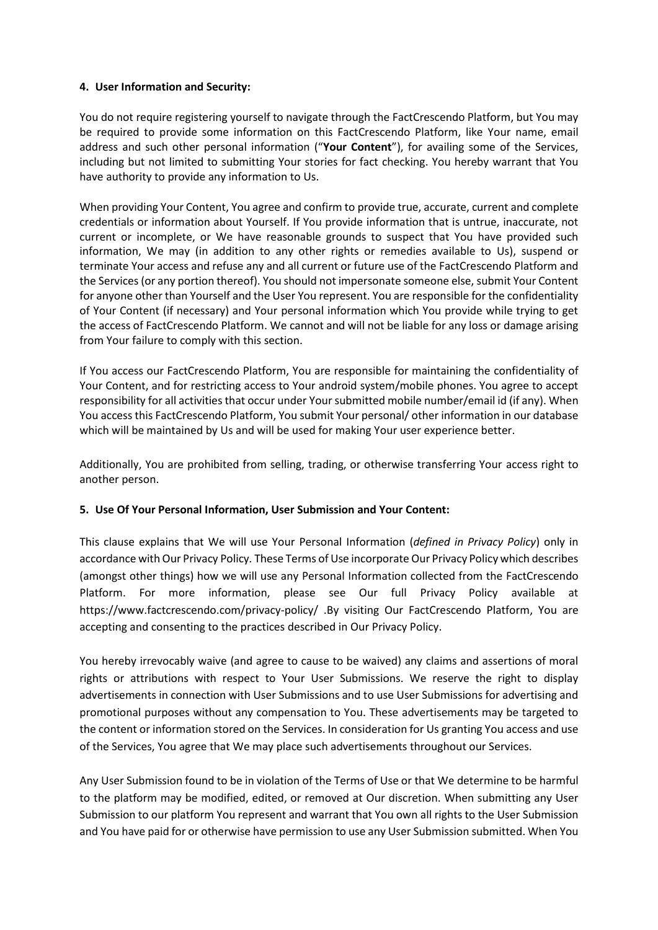### **4. User Information and Security:**

You do not require registering yourself to navigate through the FactCrescendo Platform, but You may be required to provide some information on this FactCrescendo Platform, like Your name, email address and such other personal information ("**Your Content**"), for availing some of the Services, including but not limited to submitting Your stories for fact checking. You hereby warrant that You have authority to provide any information to Us.

When providing Your Content, You agree and confirm to provide true, accurate, current and complete credentials or information about Yourself. If You provide information that is untrue, inaccurate, not current or incomplete, or We have reasonable grounds to suspect that You have provided such information, We may (in addition to any other rights or remedies available to Us), suspend or terminate Your access and refuse any and all current or future use of the FactCrescendo Platform and the Services (or any portion thereof). You should not impersonate someone else, submit Your Content for anyone other than Yourself and the User You represent. You are responsible for the confidentiality of Your Content (if necessary) and Your personal information which You provide while trying to get the access of FactCrescendo Platform. We cannot and will not be liable for any loss or damage arising from Your failure to comply with this section.

If You access our FactCrescendo Platform, You are responsible for maintaining the confidentiality of Your Content, and for restricting access to Your android system/mobile phones. You agree to accept responsibility for all activities that occur under Your submitted mobile number/email id (if any). When You access this FactCrescendo Platform, You submit Your personal/ other information in our database which will be maintained by Us and will be used for making Your user experience better.

Additionally, You are prohibited from selling, trading, or otherwise transferring Your access right to another person.

#### **5. Use Of Your Personal Information, User Submission and Your Content:**

This clause explains that We will use Your Personal Information (*defined in Privacy Policy*) only in accordance with Our Privacy Policy*.* These Terms of Use incorporate Our Privacy Policy which describes (amongst other things) how we will use any Personal Information collected from the FactCrescendo Platform. For more information, please see Our full Privacy Policy available at https://www.factcrescendo.com/privacy-policy/ .By visiting Our FactCrescendo Platform, You are accepting and consenting to the practices described in Our Privacy Policy.

You hereby irrevocably waive (and agree to cause to be waived) any claims and assertions of moral rights or attributions with respect to Your User Submissions. We reserve the right to display advertisements in connection with User Submissions and to use User Submissions for advertising and promotional purposes without any compensation to You. These advertisements may be targeted to the content or information stored on the Services. In consideration for Us granting You access and use of the Services, You agree that We may place such advertisements throughout our Services.

Any User Submission found to be in violation of the Terms of Use or that We determine to be harmful to the platform may be modified, edited, or removed at Our discretion. When submitting any User Submission to our platform You represent and warrant that You own all rights to the User Submission and You have paid for or otherwise have permission to use any User Submission submitted. When You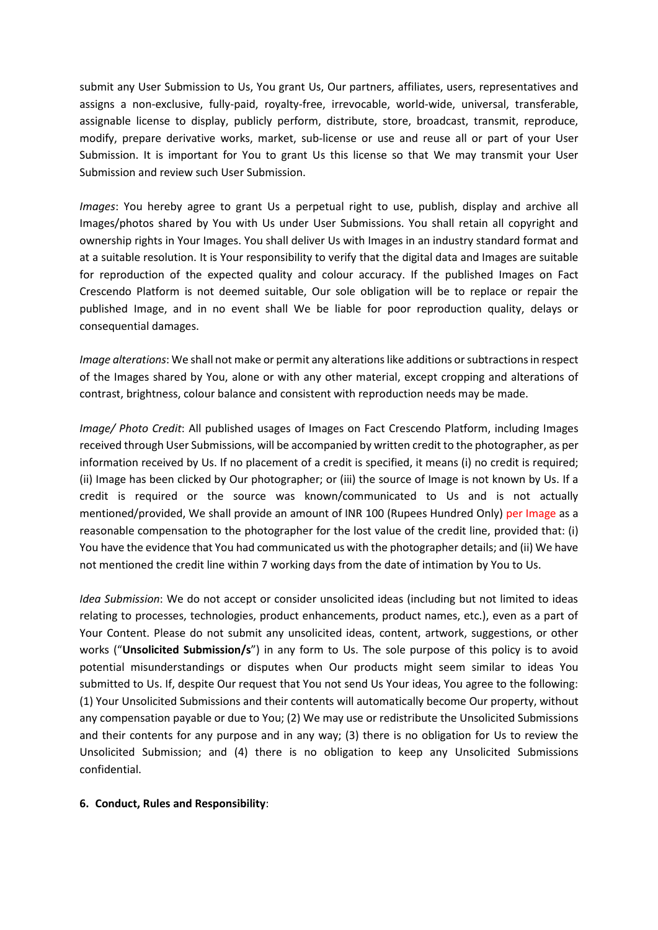submit any User Submission to Us, You grant Us, Our partners, affiliates, users, representatives and assigns a non-exclusive, fully-paid, royalty-free, irrevocable, world-wide, universal, transferable, assignable license to display, publicly perform, distribute, store, broadcast, transmit, reproduce, modify, prepare derivative works, market, sub-license or use and reuse all or part of your User Submission. It is important for You to grant Us this license so that We may transmit your User Submission and review such User Submission.

*Images*: You hereby agree to grant Us a perpetual right to use, publish, display and archive all Images/photos shared by You with Us under User Submissions. You shall retain all copyright and ownership rights in Your Images. You shall deliver Us with Images in an industry standard format and at a suitable resolution. It is Your responsibility to verify that the digital data and Images are suitable for reproduction of the expected quality and colour accuracy. If the published Images on Fact Crescendo Platform is not deemed suitable, Our sole obligation will be to replace or repair the published Image, and in no event shall We be liable for poor reproduction quality, delays or consequential damages.

*Image alterations*: We shall not make or permit any alterations like additions orsubtractions in respect of the Images shared by You, alone or with any other material, except cropping and alterations of contrast, brightness, colour balance and consistent with reproduction needs may be made.

*Image/ Photo Credit*: All published usages of Images on Fact Crescendo Platform, including Images received through User Submissions, will be accompanied by written credit to the photographer, as per information received by Us. If no placement of a credit is specified, it means (i) no credit is required; (ii) Image has been clicked by Our photographer; or (iii) the source of Image is not known by Us. If a credit is required or the source was known/communicated to Us and is not actually mentioned/provided, We shall provide an amount of INR 100 (Rupees Hundred Only) per Image as a reasonable compensation to the photographer for the lost value of the credit line, provided that: (i) You have the evidence that You had communicated us with the photographer details; and (ii) We have not mentioned the credit line within 7 working days from the date of intimation by You to Us.

*Idea Submission*: We do not accept or consider unsolicited ideas (including but not limited to ideas relating to processes, technologies, product enhancements, product names, etc.), even as a part of Your Content. Please do not submit any unsolicited ideas, content, artwork, suggestions, or other works ("**Unsolicited Submission/s**") in any form to Us. The sole purpose of this policy is to avoid potential misunderstandings or disputes when Our products might seem similar to ideas You submitted to Us. If, despite Our request that You not send Us Your ideas, You agree to the following: (1) Your Unsolicited Submissions and their contents will automatically become Our property, without any compensation payable or due to You; (2) We may use or redistribute the Unsolicited Submissions and their contents for any purpose and in any way; (3) there is no obligation for Us to review the Unsolicited Submission; and (4) there is no obligation to keep any Unsolicited Submissions confidential.

#### **6. Conduct, Rules and Responsibility**: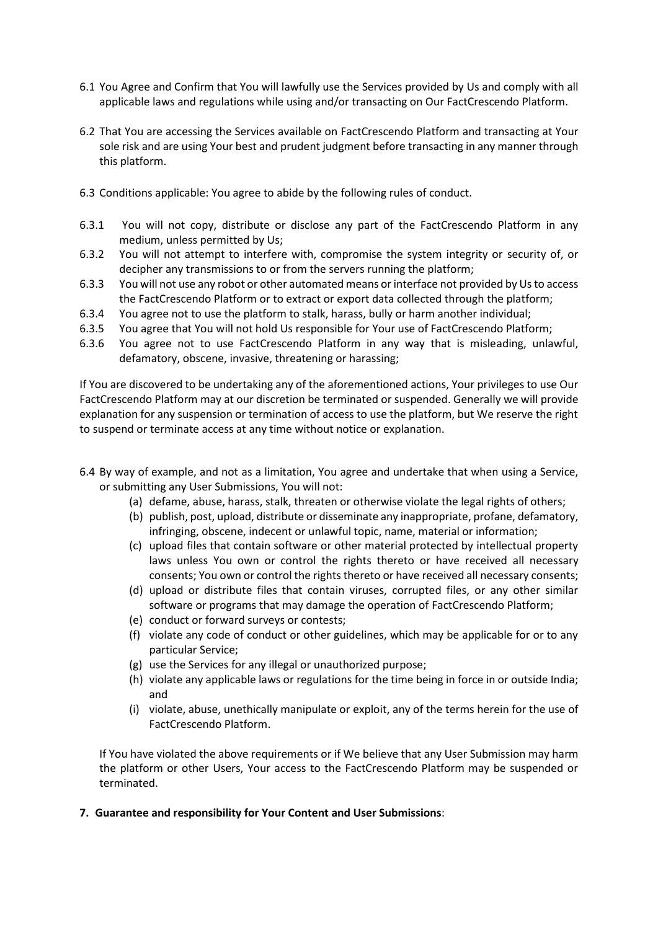- 6.1 You Agree and Confirm that You will lawfully use the Services provided by Us and comply with all applicable laws and regulations while using and/or transacting on Our FactCrescendo Platform.
- 6.2 That You are accessing the Services available on FactCrescendo Platform and transacting at Your sole risk and are using Your best and prudent judgment before transacting in any manner through this platform.
- 6.3 Conditions applicable: You agree to abide by the following rules of conduct.
- 6.3.1 You will not copy, distribute or disclose any part of the FactCrescendo Platform in any medium, unless permitted by Us;
- 6.3.2 You will not attempt to interfere with, compromise the system integrity or security of, or decipher any transmissions to or from the servers running the platform;
- 6.3.3 You will not use any robot or other automated means or interface not provided by Us to access the FactCrescendo Platform or to extract or export data collected through the platform;
- 6.3.4 You agree not to use the platform to stalk, harass, bully or harm another individual;
- 6.3.5 You agree that You will not hold Us responsible for Your use of FactCrescendo Platform;
- 6.3.6 You agree not to use FactCrescendo Platform in any way that is misleading, unlawful, defamatory, obscene, invasive, threatening or harassing;

If You are discovered to be undertaking any of the aforementioned actions, Your privileges to use Our FactCrescendo Platform may at our discretion be terminated or suspended. Generally we will provide explanation for any suspension or termination of access to use the platform, but We reserve the right to suspend or terminate access at any time without notice or explanation.

- 6.4 By way of example, and not as a limitation, You agree and undertake that when using a Service, or submitting any User Submissions, You will not:
	- (a) defame, abuse, harass, stalk, threaten or otherwise violate the legal rights of others;
	- (b) publish, post, upload, distribute or disseminate any inappropriate, profane, defamatory, infringing, obscene, indecent or unlawful topic, name, material or information;
	- (c) upload files that contain software or other material protected by intellectual property laws unless You own or control the rights thereto or have received all necessary consents; You own or control the rights thereto or have received all necessary consents;
	- (d) upload or distribute files that contain viruses, corrupted files, or any other similar software or programs that may damage the operation of FactCrescendo Platform;
	- (e) conduct or forward surveys or contests;
	- (f) violate any code of conduct or other guidelines, which may be applicable for or to any particular Service;
	- (g) use the Services for any illegal or unauthorized purpose;
	- (h) violate any applicable laws or regulations for the time being in force in or outside India; and
	- (i) violate, abuse, unethically manipulate or exploit, any of the terms herein for the use of FactCrescendo Platform.

If You have violated the above requirements or if We believe that any User Submission may harm the platform or other Users, Your access to the FactCrescendo Platform may be suspended or terminated.

#### **7. Guarantee and responsibility for Your Content and User Submissions**: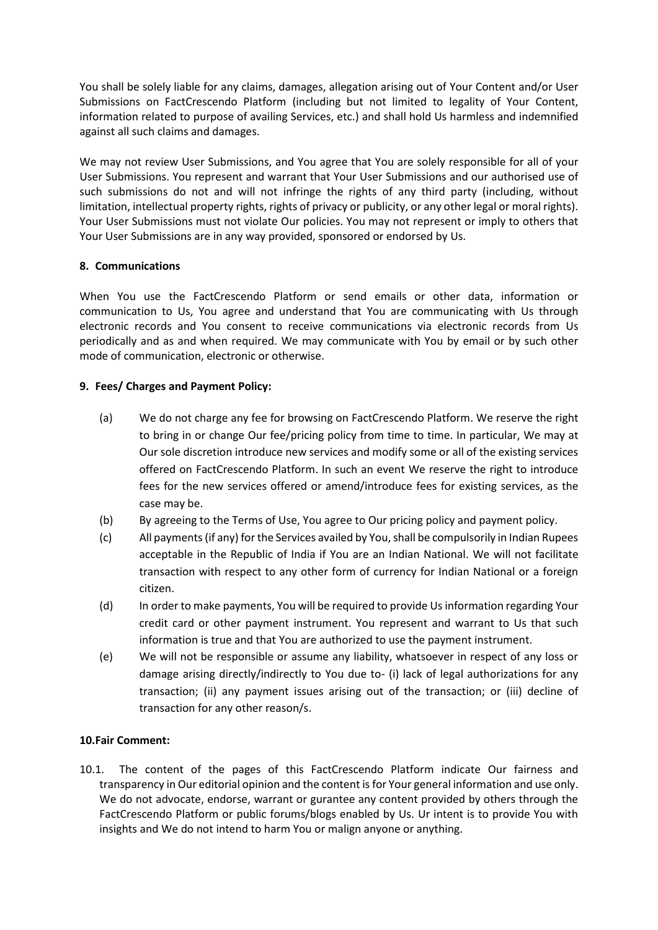You shall be solely liable for any claims, damages, allegation arising out of Your Content and/or User Submissions on FactCrescendo Platform (including but not limited to legality of Your Content, information related to purpose of availing Services, etc.) and shall hold Us harmless and indemnified against all such claims and damages.

We may not review User Submissions, and You agree that You are solely responsible for all of your User Submissions. You represent and warrant that Your User Submissions and our authorised use of such submissions do not and will not infringe the rights of any third party (including, without limitation, intellectual property rights, rights of privacy or publicity, or any other legal or moral rights). Your User Submissions must not violate Our policies. You may not represent or imply to others that Your User Submissions are in any way provided, sponsored or endorsed by Us.

# **8. Communications**

When You use the FactCrescendo Platform or send emails or other data, information or communication to Us, You agree and understand that You are communicating with Us through electronic records and You consent to receive communications via electronic records from Us periodically and as and when required. We may communicate with You by email or by such other mode of communication, electronic or otherwise.

### **9. Fees/ Charges and Payment Policy:**

- (a) We do not charge any fee for browsing on FactCrescendo Platform. We reserve the right to bring in or change Our fee/pricing policy from time to time. In particular, We may at Our sole discretion introduce new services and modify some or all of the existing services offered on FactCrescendo Platform. In such an event We reserve the right to introduce fees for the new services offered or amend/introduce fees for existing services, as the case may be.
- (b) By agreeing to the Terms of Use, You agree to Our pricing policy and payment policy.
- (c) All payments(if any) for the Services availed by You, shall be compulsorily in Indian Rupees acceptable in the Republic of India if You are an Indian National. We will not facilitate transaction with respect to any other form of currency for Indian National or a foreign citizen.
- (d) In order to make payments, You will be required to provide Us information regarding Your credit card or other payment instrument. You represent and warrant to Us that such information is true and that You are authorized to use the payment instrument.
- (e) We will not be responsible or assume any liability, whatsoever in respect of any loss or damage arising directly/indirectly to You due to- (i) lack of legal authorizations for any transaction; (ii) any payment issues arising out of the transaction; or (iii) decline of transaction for any other reason/s.

#### **10.Fair Comment:**

10.1. The content of the pages of this FactCrescendo Platform indicate Our fairness and transparency in Our editorial opinion and the content is for Your general information and use only. We do not advocate, endorse, warrant or gurantee any content provided by others through the FactCrescendo Platform or public forums/blogs enabled by Us. Ur intent is to provide You with insights and We do not intend to harm You or malign anyone or anything.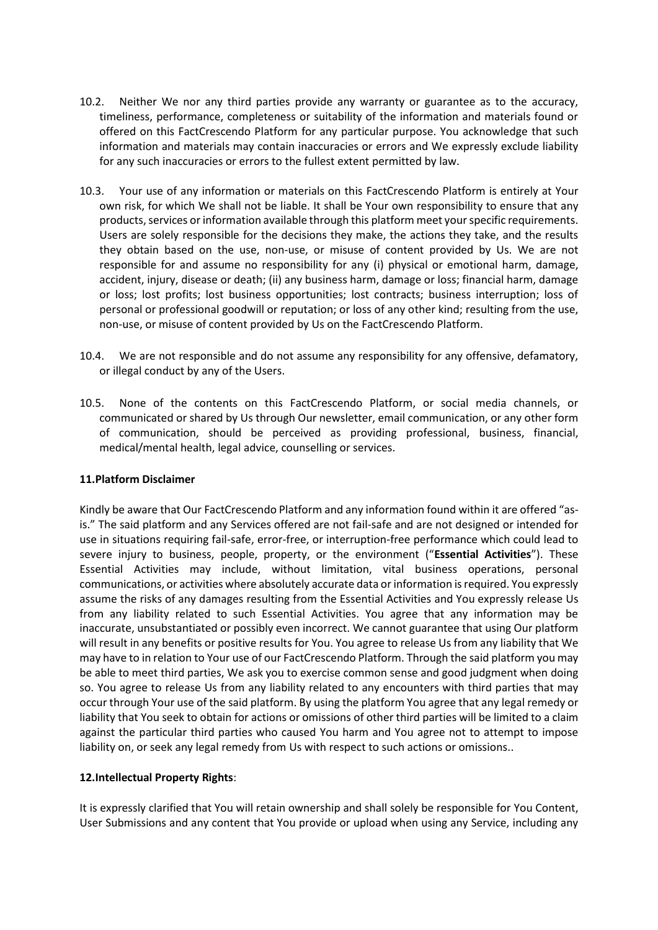- 10.2. Neither We nor any third parties provide any warranty or guarantee as to the accuracy, timeliness, performance, completeness or suitability of the information and materials found or offered on this FactCrescendo Platform for any particular purpose. You acknowledge that such information and materials may contain inaccuracies or errors and We expressly exclude liability for any such inaccuracies or errors to the fullest extent permitted by law.
- 10.3. Your use of any information or materials on this FactCrescendo Platform is entirely at Your own risk, for which We shall not be liable. It shall be Your own responsibility to ensure that any products, services or information available through this platform meet your specific requirements. Users are solely responsible for the decisions they make, the actions they take, and the results they obtain based on the use, non-use, or misuse of content provided by Us. We are not responsible for and assume no responsibility for any (i) physical or emotional harm, damage, accident, injury, disease or death; (ii) any business harm, damage or loss; financial harm, damage or loss; lost profits; lost business opportunities; lost contracts; business interruption; loss of personal or professional goodwill or reputation; or loss of any other kind; resulting from the use, non-use, or misuse of content provided by Us on the FactCrescendo Platform.
- 10.4. We are not responsible and do not assume any responsibility for any offensive, defamatory, or illegal conduct by any of the Users.
- 10.5. None of the contents on this FactCrescendo Platform, or social media channels, or communicated or shared by Us through Our newsletter, email communication, or any other form of communication, should be perceived as providing professional, business, financial, medical/mental health, legal advice, counselling or services.

#### **11.Platform Disclaimer**

Kindly be aware that Our FactCrescendo Platform and any information found within it are offered "asis." The said platform and any Services offered are not fail-safe and are not designed or intended for use in situations requiring fail-safe, error-free, or interruption-free performance which could lead to severe injury to business, people, property, or the environment ("**Essential Activities**"). These Essential Activities may include, without limitation, vital business operations, personal communications, or activities where absolutely accurate data or information is required. You expressly assume the risks of any damages resulting from the Essential Activities and You expressly release Us from any liability related to such Essential Activities. You agree that any information may be inaccurate, unsubstantiated or possibly even incorrect. We cannot guarantee that using Our platform will result in any benefits or positive results for You. You agree to release Us from any liability that We may have to in relation to Your use of our FactCrescendo Platform. Through the said platform you may be able to meet third parties, We ask you to exercise common sense and good judgment when doing so. You agree to release Us from any liability related to any encounters with third parties that may occur through Your use of the said platform. By using the platform You agree that any legal remedy or liability that You seek to obtain for actions or omissions of other third parties will be limited to a claim against the particular third parties who caused You harm and You agree not to attempt to impose liability on, or seek any legal remedy from Us with respect to such actions or omissions..

# **12.Intellectual Property Rights**:

It is expressly clarified that You will retain ownership and shall solely be responsible for You Content, User Submissions and any content that You provide or upload when using any Service, including any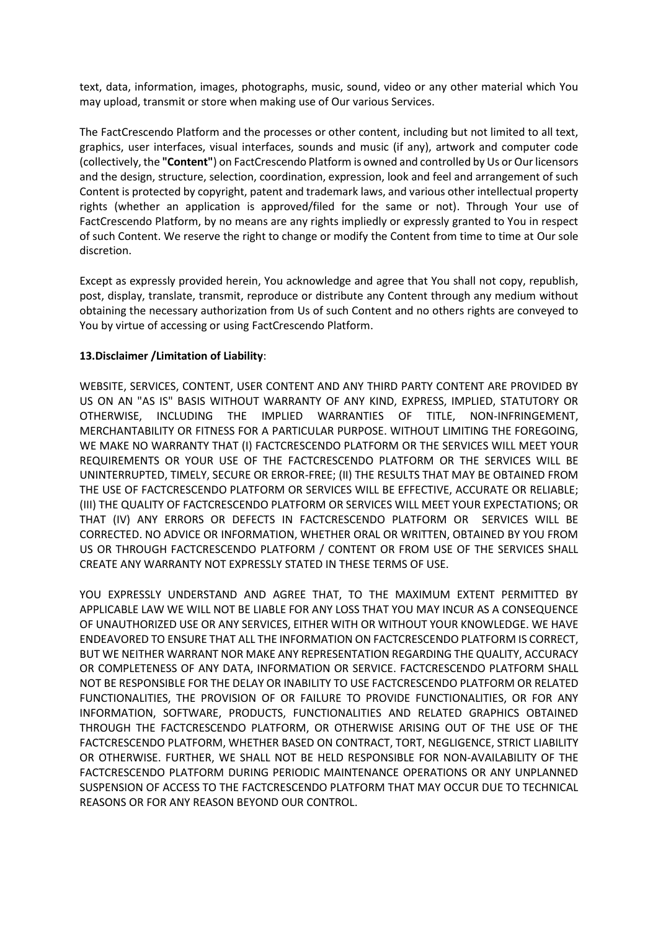text, data, information, images, photographs, music, sound, video or any other material which You may upload, transmit or store when making use of Our various Services.

The FactCrescendo Platform and the processes or other content, including but not limited to all text, graphics, user interfaces, visual interfaces, sounds and music (if any), artwork and computer code (collectively, the **"Content"**) on FactCrescendo Platform is owned and controlled by Us or Ourlicensors and the design, structure, selection, coordination, expression, look and feel and arrangement of such Content is protected by copyright, patent and trademark laws, and various other intellectual property rights (whether an application is approved/filed for the same or not). Through Your use of FactCrescendo Platform, by no means are any rights impliedly or expressly granted to You in respect of such Content. We reserve the right to change or modify the Content from time to time at Our sole discretion.

Except as expressly provided herein, You acknowledge and agree that You shall not copy, republish, post, display, translate, transmit, reproduce or distribute any Content through any medium without obtaining the necessary authorization from Us of such Content and no others rights are conveyed to You by virtue of accessing or using FactCrescendo Platform.

### **13.Disclaimer /Limitation of Liability**:

WEBSITE, SERVICES, CONTENT, USER CONTENT AND ANY THIRD PARTY CONTENT ARE PROVIDED BY US ON AN "AS IS" BASIS WITHOUT WARRANTY OF ANY KIND, EXPRESS, IMPLIED, STATUTORY OR OTHERWISE, INCLUDING THE IMPLIED WARRANTIES OF TITLE, NON-INFRINGEMENT, MERCHANTABILITY OR FITNESS FOR A PARTICULAR PURPOSE. WITHOUT LIMITING THE FOREGOING, WE MAKE NO WARRANTY THAT (I) FACTCRESCENDO PLATFORM OR THE SERVICES WILL MEET YOUR REQUIREMENTS OR YOUR USE OF THE FACTCRESCENDO PLATFORM OR THE SERVICES WILL BE UNINTERRUPTED, TIMELY, SECURE OR ERROR-FREE; (II) THE RESULTS THAT MAY BE OBTAINED FROM THE USE OF FACTCRESCENDO PLATFORM OR SERVICES WILL BE EFFECTIVE, ACCURATE OR RELIABLE; (III) THE QUALITY OF FACTCRESCENDO PLATFORM OR SERVICES WILL MEET YOUR EXPECTATIONS; OR THAT (IV) ANY ERRORS OR DEFECTS IN FACTCRESCENDO PLATFORM OR SERVICES WILL BE CORRECTED. NO ADVICE OR INFORMATION, WHETHER ORAL OR WRITTEN, OBTAINED BY YOU FROM US OR THROUGH FACTCRESCENDO PLATFORM / CONTENT OR FROM USE OF THE SERVICES SHALL CREATE ANY WARRANTY NOT EXPRESSLY STATED IN THESE TERMS OF USE.

YOU EXPRESSLY UNDERSTAND AND AGREE THAT, TO THE MAXIMUM EXTENT PERMITTED BY APPLICABLE LAW WE WILL NOT BE LIABLE FOR ANY LOSS THAT YOU MAY INCUR AS A CONSEQUENCE OF UNAUTHORIZED USE OR ANY SERVICES, EITHER WITH OR WITHOUT YOUR KNOWLEDGE. WE HAVE ENDEAVORED TO ENSURE THAT ALL THE INFORMATION ON FACTCRESCENDO PLATFORM IS CORRECT, BUT WE NEITHER WARRANT NOR MAKE ANY REPRESENTATION REGARDING THE QUALITY, ACCURACY OR COMPLETENESS OF ANY DATA, INFORMATION OR SERVICE. FACTCRESCENDO PLATFORM SHALL NOT BE RESPONSIBLE FOR THE DELAY OR INABILITY TO USE FACTCRESCENDO PLATFORM OR RELATED FUNCTIONALITIES, THE PROVISION OF OR FAILURE TO PROVIDE FUNCTIONALITIES, OR FOR ANY INFORMATION, SOFTWARE, PRODUCTS, FUNCTIONALITIES AND RELATED GRAPHICS OBTAINED THROUGH THE FACTCRESCENDO PLATFORM, OR OTHERWISE ARISING OUT OF THE USE OF THE FACTCRESCENDO PLATFORM, WHETHER BASED ON CONTRACT, TORT, NEGLIGENCE, STRICT LIABILITY OR OTHERWISE. FURTHER, WE SHALL NOT BE HELD RESPONSIBLE FOR NON-AVAILABILITY OF THE FACTCRESCENDO PLATFORM DURING PERIODIC MAINTENANCE OPERATIONS OR ANY UNPLANNED SUSPENSION OF ACCESS TO THE FACTCRESCENDO PLATFORM THAT MAY OCCUR DUE TO TECHNICAL REASONS OR FOR ANY REASON BEYOND OUR CONTROL.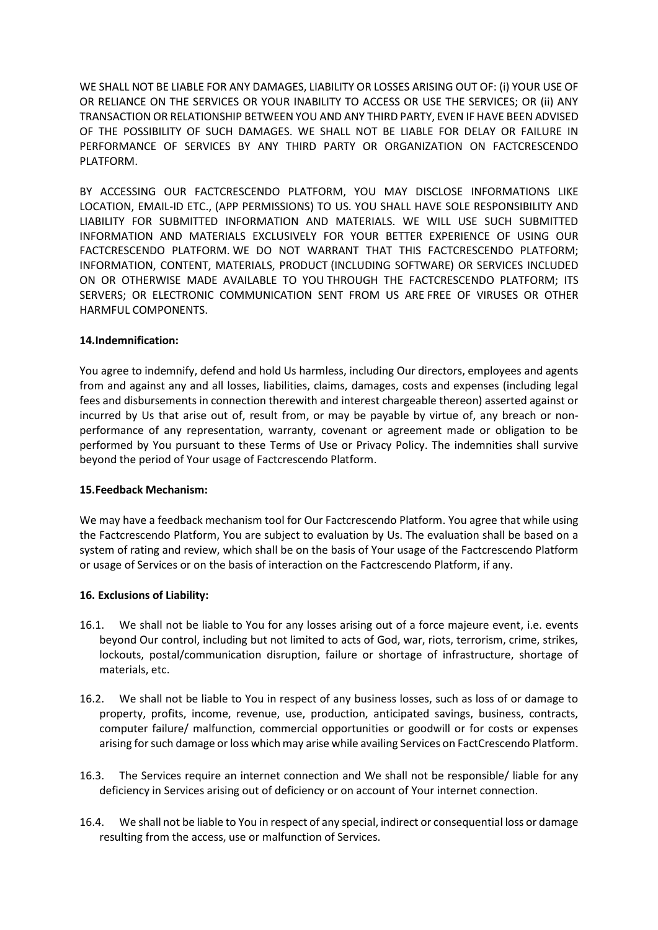WE SHALL NOT BE LIABLE FOR ANY DAMAGES, LIABILITY OR LOSSES ARISING OUT OF: (i) YOUR USE OF OR RELIANCE ON THE SERVICES OR YOUR INABILITY TO ACCESS OR USE THE SERVICES; OR (ii) ANY TRANSACTION OR RELATIONSHIP BETWEEN YOU AND ANY THIRD PARTY, EVEN IF HAVE BEEN ADVISED OF THE POSSIBILITY OF SUCH DAMAGES. WE SHALL NOT BE LIABLE FOR DELAY OR FAILURE IN PERFORMANCE OF SERVICES BY ANY THIRD PARTY OR ORGANIZATION ON FACTCRESCENDO PLATFORM.

BY ACCESSING OUR FACTCRESCENDO PLATFORM, YOU MAY DISCLOSE INFORMATIONS LIKE LOCATION, EMAIL-ID ETC., (APP PERMISSIONS) TO US. YOU SHALL HAVE SOLE RESPONSIBILITY AND LIABILITY FOR SUBMITTED INFORMATION AND MATERIALS. WE WILL USE SUCH SUBMITTED INFORMATION AND MATERIALS EXCLUSIVELY FOR YOUR BETTER EXPERIENCE OF USING OUR FACTCRESCENDO PLATFORM. WE DO NOT WARRANT THAT THIS FACTCRESCENDO PLATFORM; INFORMATION, CONTENT, MATERIALS, PRODUCT (INCLUDING SOFTWARE) OR SERVICES INCLUDED ON OR OTHERWISE MADE AVAILABLE TO YOU THROUGH THE FACTCRESCENDO PLATFORM; ITS SERVERS; OR ELECTRONIC COMMUNICATION SENT FROM US ARE FREE OF VIRUSES OR OTHER HARMFUL COMPONENTS.

### **14.Indemnification:**

You agree to indemnify, defend and hold Us harmless, including Our directors, employees and agents from and against any and all losses, liabilities, claims, damages, costs and expenses (including legal fees and disbursements in connection therewith and interest chargeable thereon) asserted against or incurred by Us that arise out of, result from, or may be payable by virtue of, any breach or nonperformance of any representation, warranty, covenant or agreement made or obligation to be performed by You pursuant to these Terms of Use or Privacy Policy. The indemnities shall survive beyond the period of Your usage of Factcrescendo Platform.

#### **15.Feedback Mechanism:**

We may have a feedback mechanism tool for Our Factcrescendo Platform. You agree that while using the Factcrescendo Platform, You are subject to evaluation by Us. The evaluation shall be based on a system of rating and review, which shall be on the basis of Your usage of the Factcrescendo Platform or usage of Services or on the basis of interaction on the Factcrescendo Platform, if any.

#### **16. Exclusions of Liability:**

- 16.1. We shall not be liable to You for any losses arising out of a force majeure event, i.e. events beyond Our control, including but not limited to acts of God, war, riots, terrorism, crime, strikes, lockouts, postal/communication disruption, failure or shortage of infrastructure, shortage of materials, etc.
- 16.2. We shall not be liable to You in respect of any business losses, such as loss of or damage to property, profits, income, revenue, use, production, anticipated savings, business, contracts, computer failure/ malfunction, commercial opportunities or goodwill or for costs or expenses arising for such damage or loss which may arise while availing Services on FactCrescendo Platform.
- 16.3. The Services require an internet connection and We shall not be responsible/ liable for any deficiency in Services arising out of deficiency or on account of Your internet connection.
- 16.4. We shall not be liable to You in respect of any special, indirect or consequential loss or damage resulting from the access, use or malfunction of Services.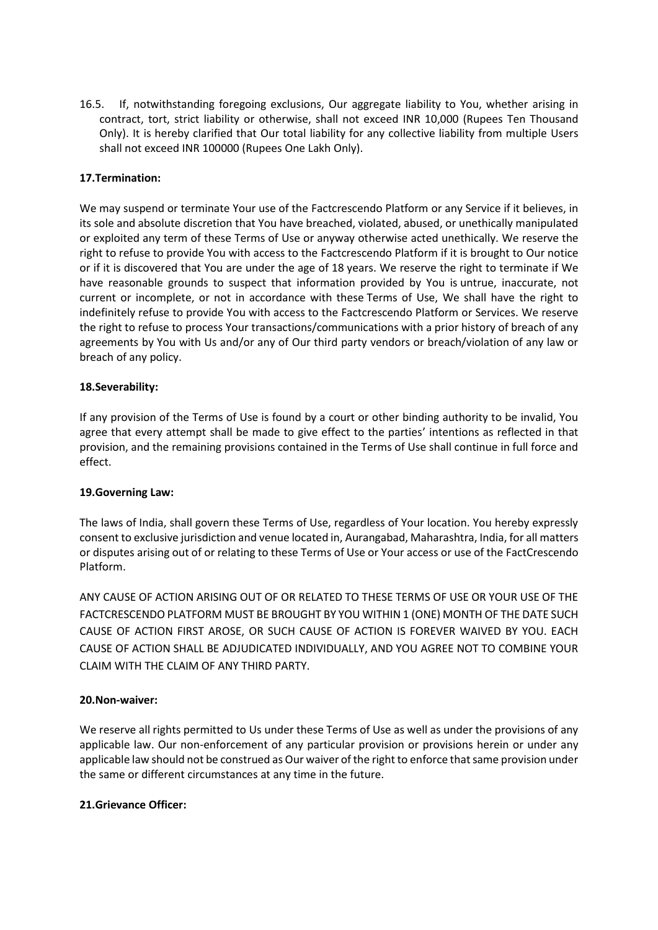16.5. If, notwithstanding foregoing exclusions, Our aggregate liability to You, whether arising in contract, tort, strict liability or otherwise, shall not exceed INR 10,000 (Rupees Ten Thousand Only). It is hereby clarified that Our total liability for any collective liability from multiple Users shall not exceed INR 100000 (Rupees One Lakh Only).

# **17.Termination:**

We may suspend or terminate Your use of the Factcrescendo Platform or any Service if it believes, in its sole and absolute discretion that You have breached, violated, abused, or unethically manipulated or exploited any term of these Terms of Use or anyway otherwise acted unethically. We reserve the right to refuse to provide You with access to the Factcrescendo Platform if it is brought to Our notice or if it is discovered that You are under the age of 18 years. We reserve the right to terminate if We have reasonable grounds to suspect that information provided by You is untrue, inaccurate, not current or incomplete, or not in accordance with these Terms of Use, We shall have the right to indefinitely refuse to provide You with access to the Factcrescendo Platform or Services. We reserve the right to refuse to process Your transactions/communications with a prior history of breach of any agreements by You with Us and/or any of Our third party vendors or breach/violation of any law or breach of any policy.

# **18.Severability:**

If any provision of the Terms of Use is found by a court or other binding authority to be invalid, You agree that every attempt shall be made to give effect to the parties' intentions as reflected in that provision, and the remaining provisions contained in the Terms of Use shall continue in full force and effect.

# **19.Governing Law:**

The laws of India, shall govern these Terms of Use, regardless of Your location. You hereby expressly consent to exclusive jurisdiction and venue located in, Aurangabad, Maharashtra, India, for all matters or disputes arising out of or relating to these Terms of Use or Your access or use of the FactCrescendo Platform.

ANY CAUSE OF ACTION ARISING OUT OF OR RELATED TO THESE TERMS OF USE OR YOUR USE OF THE FACTCRESCENDO PLATFORM MUST BE BROUGHT BY YOU WITHIN 1 (ONE) MONTH OF THE DATE SUCH CAUSE OF ACTION FIRST AROSE, OR SUCH CAUSE OF ACTION IS FOREVER WAIVED BY YOU. EACH CAUSE OF ACTION SHALL BE ADJUDICATED INDIVIDUALLY, AND YOU AGREE NOT TO COMBINE YOUR CLAIM WITH THE CLAIM OF ANY THIRD PARTY.

# **20.Non-waiver:**

We reserve all rights permitted to Us under these Terms of Use as well as under the provisions of any applicable law. Our non-enforcement of any particular provision or provisions herein or under any applicable law should not be construed as Our waiver of the right to enforce that same provision under the same or different circumstances at any time in the future.

# **21.Grievance Officer:**